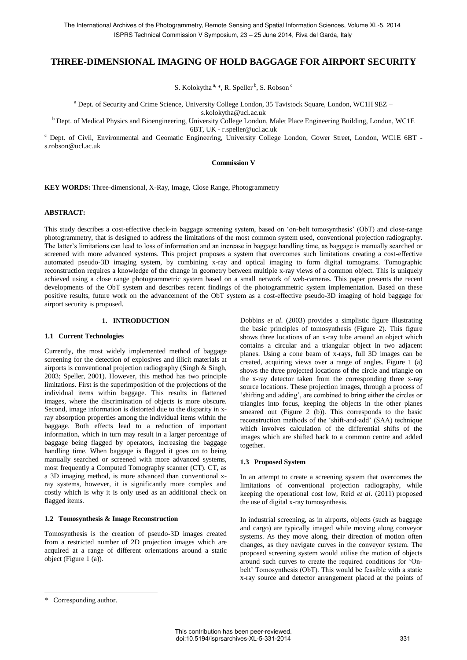# **THREE-DIMENSIONAL IMAGING OF HOLD BAGGAGE FOR AIRPORT SECURITY**

S. Kolokytha<sup>a, \*</sup>, R. Speller <sup>b</sup>, S. Robson <sup>c</sup>

<sup>a</sup> Dept. of Security and Crime Science, University College London, 35 Tavistock Square, London, WC1H 9EZ –

s.kolokytha@ucl.ac.uk

<sup>b</sup> Dept. of Medical Physics and Bioengineering, University College London, Malet Place Engineering Building, London, WC1E 6BT, UK - r.speller@ucl.ac.uk

<sup>c</sup> Dept. of Civil, Environmental and Geomatic Engineering, University College London, Gower Street, London, WC1E 6BT s.robson@ucl.ac.uk

### **Commission V**

**KEY WORDS:** Three-dimensional, X-Ray, Image, Close Range, Photogrammetry

### **ABSTRACT:**

This study describes a cost-effective check-in baggage screening system, based on 'on-belt tomosynthesis' (ObT) and close-range photogrammetry, that is designed to address the limitations of the most common system used, conventional projection radiography. The latter's limitations can lead to loss of information and an increase in baggage handling time, as baggage is manually searched or screened with more advanced systems. This project proposes a system that overcomes such limitations creating a cost-effective automated pseudo-3D imaging system, by combining x-ray and optical imaging to form digital tomograms. Tomographic reconstruction requires a knowledge of the change in geometry between multiple x-ray views of a common object. This is uniquely achieved using a close range photogrammetric system based on a small network of web-cameras. This paper presents the recent developments of the ObT system and describes recent findings of the photogrammetric system implementation. Based on these positive results, future work on the advancement of the ObT system as a cost-effective pseudo-3D imaging of hold baggage for airport security is proposed.

# **1. INTRODUCTION**

#### **1.1 Current Technologies**

Currently, the most widely implemented method of baggage screening for the detection of explosives and illicit materials at airports is conventional projection radiography (Singh & Singh, 2003; Speller, 2001). However, this method has two principle limitations. First is the superimposition of the projections of the individual items within baggage. This results in flattened images, where the discrimination of objects is more obscure. Second, image information is distorted due to the disparity in xray absorption properties among the individual items within the baggage. Both effects lead to a reduction of important information, which in turn may result in a larger percentage of baggage being flagged by operators, increasing the baggage handling time. When baggage is flagged it goes on to being manually searched or screened with more advanced systems, most frequently a Computed Tomography scanner (CT). CT, as a 3D imaging method, is more advanced than conventional xray systems, however, it is significantly more complex and costly which is why it is only used as an additional check on flagged items.

#### **1.2 Tomosynthesis & Image Reconstruction**

Tomosynthesis is the creation of pseudo-3D images created from a restricted number of 2D projection images which are acquired at a range of different orientations around a static object (Figure 1 (a)).

Dobbins *et al*. (2003) provides a simplistic figure illustrating the basic principles of tomosynthesis (Figure 2). This figure shows three locations of an x-ray tube around an object which contains a circular and a triangular object in two adjacent planes. Using a cone beam of x-rays, full 3D images can be created, acquiring views over a range of angles. Figure 1 (a) shows the three projected locations of the circle and triangle on the x-ray detector taken from the corresponding three x-ray source locations. These projection images, through a process of 'shifting and adding', are combined to bring either the circles or triangles into focus, keeping the objects in the other planes smeared out (Figure 2 (b)). This corresponds to the basic reconstruction methods of the 'shift-and-add' (SAA) technique which involves calculation of the differential shifts of the images which are shifted back to a common centre and added together.

#### **1.3 Proposed System**

In an attempt to create a screening system that overcomes the limitations of conventional projection radiography, while keeping the operational cost low, Reid *et al*. (2011) proposed the use of digital x-ray tomosynthesis.

In industrial screening, as in airports, objects (such as baggage and cargo) are typically imaged while moving along conveyor systems. As they move along, their direction of motion often changes, as they navigate curves in the conveyor system. The proposed screening system would utilise the motion of objects around such curves to create the required conditions for 'Onbelt' Tomosynthesis (ObT). This would be feasible with a static x-ray source and detector arrangement placed at the points of

 $\overline{a}$ 

<sup>\*</sup> Corresponding author.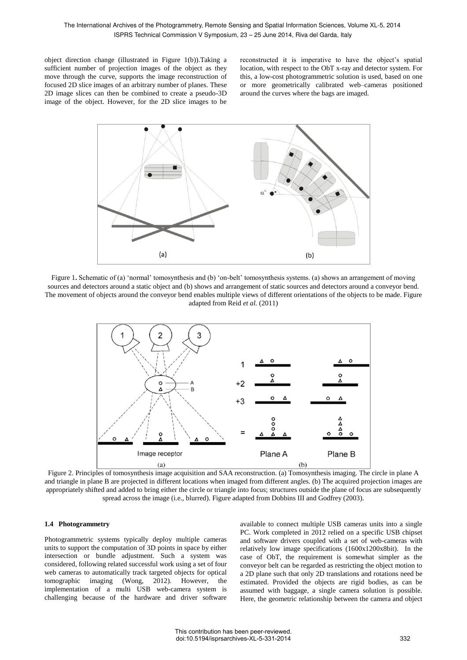object direction change (illustrated in Figure 1(b)).Taking a sufficient number of projection images of the object as they move through the curve, supports the image reconstruction of focused 2D slice images of an arbitrary number of planes. These 2D image slices can then be combined to create a pseudo-3D image of the object. However, for the 2D slice images to be reconstructed it is imperative to have the object's spatial location, with respect to the ObT x-ray and detector system. For this, a low-cost photogrammetric solution is used, based on one or more geometrically calibrated web–cameras positioned around the curves where the bags are imaged.



Figure 1. Schematic of (a) 'normal' tomosynthesis and (b) 'on-belt' tomosynthesis systems. (a) shows an arrangement of moving sources and detectors around a static object and (b) shows and arrangement of static sources and detectors around a conveyor bend. The movement of objects around the conveyor bend enables multiple views of different orientations of the objects to be made. Figure adapted from Reid *et al.* (2011)



Figure 2. Principles of tomosynthesis image acquisition and SAA reconstruction. (a) Tomosynthesis imaging. The circle in plane A and triangle in plane B are projected in different locations when imaged from different angles. (b) The acquired projection images are appropriately shifted and added to bring either the circle or triangle into focus; structures outside the plane of focus are subsequently spread across the image (i.e., blurred). Figure adapted from Dobbins III and Godfrey (2003).

## **1.4 Photogrammetry**

Photogrammetric systems typically deploy multiple cameras units to support the computation of 3D points in space by either intersection or bundle adjustment. Such a system was considered, following related successful work using a set of four web cameras to automatically track targeted objects for optical tomographic imaging (Wong, 2012). However, the implementation of a multi USB web-camera system is challenging because of the hardware and driver software

available to connect multiple USB cameras units into a single PC. Work completed in 2012 relied on a specific USB chipset and software drivers coupled with a set of web-cameras with relatively low image specifications (1600x1200x8bit). In the case of ObT, the requirement is somewhat simpler as the conveyor belt can be regarded as restricting the object motion to a 2D plane such that only 2D translations and rotations need be estimated. Provided the objects are rigid bodies, as can be assumed with baggage, a single camera solution is possible. Here, the geometric relationship between the camera and object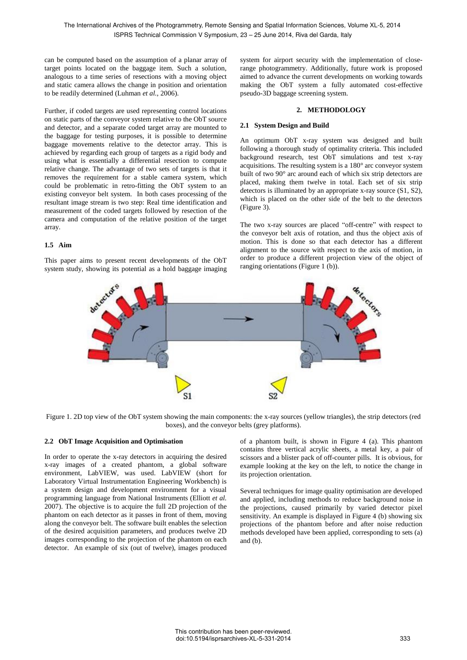can be computed based on the assumption of a planar array of target points located on the baggage item. Such a solution, analogous to a time series of resections with a moving object and static camera allows the change in position and orientation to be readily determined (Luhman *et al.,* 2006).

Further, if coded targets are used representing control locations on static parts of the conveyor system relative to the ObT source and detector, and a separate coded target array are mounted to the baggage for testing purposes, it is possible to determine baggage movements relative to the detector array. This is achieved by regarding each group of targets as a rigid body and using what is essentially a differential resection to compute relative change. The advantage of two sets of targets is that it removes the requirement for a stable camera system, which could be problematic in retro-fitting the ObT system to an existing conveyor belt system. In both cases processing of the resultant image stream is two step: Real time identification and measurement of the coded targets followed by resection of the camera and computation of the relative position of the target array.

# **1.5 Aim**

This paper aims to present recent developments of the ObT system study, showing its potential as a hold baggage imaging system for airport security with the implementation of closerange photogrammetry. Additionally, future work is proposed aimed to advance the current developments on working towards making the ObT system a fully automated cost-effective pseudo-3D baggage screening system.

# **2. METHODOLOGY**

# **2.1 System Design and Build**

An optimum ObT x-ray system was designed and built following a thorough study of optimality criteria. This included background research, test ObT simulations and test x-ray acquisitions. The resulting system is a 180° arc conveyor system built of two 90° arc around each of which six strip detectors are placed, making them twelve in total. Each set of six strip detectors is illuminated by an appropriate x-ray source (S1, S2), which is placed on the other side of the belt to the detectors (Figure 3).

The two x-ray sources are placed "off-centre" with respect to the conveyor belt axis of rotation, and thus the object axis of motion. This is done so that each detector has a different alignment to the source with respect to the axis of motion, in order to produce a different projection view of the object of ranging orientations (Figure 1 (b)).



Figure 1. 2D top view of the ObT system showing the main components: the x-ray sources (yellow triangles), the strip detectors (red boxes), and the conveyor belts (grey platforms).

## **2.2 ObT Image Acquisition and Optimisation**

In order to operate the x-ray detectors in acquiring the desired x-ray images of a created phantom, a global software environment, LabVIEW, was used. LabVIEW (short for Laboratory Virtual Instrumentation Engineering Workbench) is a system design and development environment for a visual programming language from National Instruments (Elliott *et al.* 2007). The objective is to acquire the full 2D projection of the phantom on each detector as it passes in front of them, moving along the conveyor belt. The software built enables the selection of the desired acquisition parameters, and produces twelve 2D images corresponding to the projection of the phantom on each detector. An example of six (out of twelve), images produced of a phantom built, is shown in Figure 4 (a). This phantom contains three vertical acrylic sheets, a metal key, a pair of scissors and a blister pack of off-counter pills. It is obvious, for example looking at the key on the left, to notice the change in its projection orientation.

Several techniques for image quality optimisation are developed and applied, including methods to reduce background noise in the projections, caused primarily by varied detector pixel sensitivity. An example is displayed in Figure 4 (b) showing six projections of the phantom before and after noise reduction methods developed have been applied, corresponding to sets (a) and (b).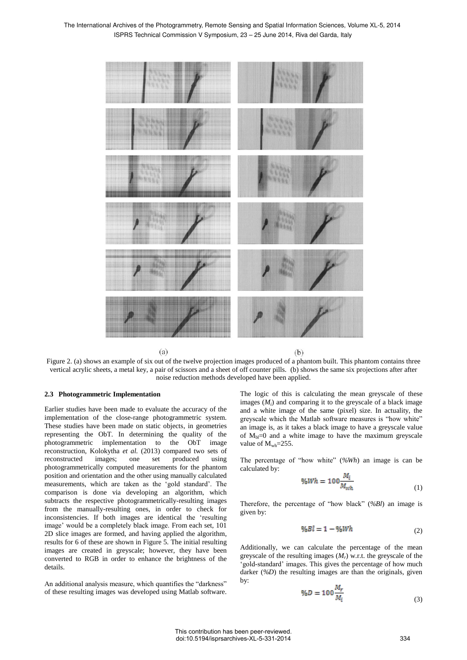

Figure 2. (a) shows an example of six out of the twelve projection images produced of a phantom built. This phantom contains three vertical acrylic sheets, a metal key, a pair of scissors and a sheet of off counter pills. (b) shows the same six projections after after noise reduction methods developed have been applied.

# **2.3 Photogrammetric Implementation**

Earlier studies have been made to evaluate the accuracy of the implementation of the close-range photogrammetric system. These studies have been made on static objects, in geometries representing the ObT. In determining the quality of the photogrammetric implementation to the ObT image reconstruction, Kolokytha *et al.* (2013) compared two sets of reconstructed images; one set produced using photogrammetrically computed measurements for the phantom position and orientation and the other using manually calculated measurements, which are taken as the 'gold standard'. The comparison is done via developing an algorithm, which subtracts the respective photogrammetrically-resulting images from the manually-resulting ones, in order to check for inconsistencies. If both images are identical the 'resulting image' would be a completely black image. From each set, 101 2D slice images are formed, and having applied the algorithm, results for 6 of these are shown in Figure 5. The initial resulting images are created in greyscale; however, they have been converted to RGB in order to enhance the brightness of the details.

An additional analysis measure, which quantifies the "darkness" of these resulting images was developed using Matlab software. The logic of this is calculating the mean greyscale of these images  $(M_i)$  and comparing it to the greyscale of a black image and a white image of the same (pixel) size. In actuality, the greyscale which the Matlab software measures is "how white" an image is, as it takes a black image to have a greyscale value of  $M_h = 0$  and a white image to have the maximum greyscale value of  $M_{wh} = 255$ .

The percentage of "how white" (*%Wh*) an image is can be calculated by:

$$
\%Wh = 100 \frac{M_i}{M_{wh}} \tag{1}
$$

Therefore, the percentage of "how black" (*%Bl*) an image is given by:

$$
\%Bl = 1 - \%Wh \tag{2}
$$

Additionally, we can calculate the percentage of the mean greyscale of the resulting images (*M<sup>r</sup>* ) w.r.t. the greyscale of the 'gold-standard' images. This gives the percentage of how much darker (*%D*) the resulting images are than the originals, given by:

$$
\%D = 100 \frac{M_r}{M_i} \tag{3}
$$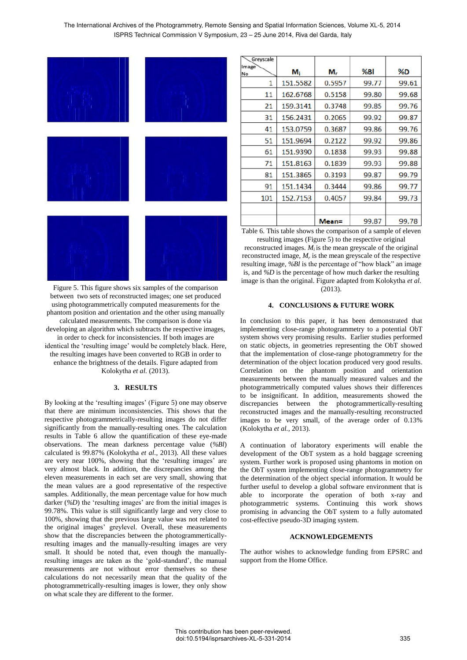The International Archives of the Photogrammetry, Remote Sensing and Spatial Information Sciences, Volume XL-5, 2014 ISPRS Technical Commission V Symposium, 23 – 25 June 2014, Riva del Garda, Italy



Figure 5. This figure shows six samples of the comparison between two sets of reconstructed images; one set produced using photogrammetrically computed measurements for the phantom position and orientation and the other using manually calculated measurements. The comparison is done via developing an algorithm which subtracts the respective images, in order to check for inconsistencies. If both images are identical the 'resulting image' would be completely black. Here, the resulting images have been converted to RGB in order to enhance the brightness of the details. Figure adapted from Kolokytha *et al.* (2013).

### **3. RESULTS**

By looking at the 'resulting images' (Figure 5) one may observe that there are minimum inconsistencies. This shows that the respective photogrammetrically-resulting images do not differ significantly from the manually-resulting ones. The calculation results in Table 6 allow the quantification of these eye-made observations. The mean darkness percentage value (*%Bl*) calculated is 99.87% (Kolokytha *et al*., 2013). All these values are very near 100%, showing that the 'resulting images' are very almost black. In addition, the discrepancies among the eleven measurements in each set are very small, showing that the mean values are a good representative of the respective samples. Additionally, the mean percentage value for how much darker (*%D*) the 'resulting images' are from the initial images is 99.78%. This value is still significantly large and very close to 100%, showing that the previous large value was not related to the original images' greylevel. Overall, these measurements show that the discrepancies between the photogrammerticallyresulting images and the manually-resulting images are very small. It should be noted that, even though the manuallyresulting images are taken as the 'gold-standard', the manual measurements are not without error themselves so these calculations do not necessarily mean that the quality of the photogrammetrically-resulting images is lower, they only show on what scale they are different to the former.

| Greyscale   |          |        |       |       |
|-------------|----------|--------|-------|-------|
| Image<br>No | $M_i$    | м.     | %Bl   | %D    |
| 1           | 151.5582 | 0.5957 | 99.77 | 99.61 |
| 11          | 162.6768 | 0.5158 | 99.80 | 99.68 |
| 21          | 159.3141 | 0.3748 | 99.85 | 99.76 |
| 31          | 156.2431 | 0.2065 | 99.92 | 99.87 |
| 41          | 153.0759 | 0.3687 | 99.86 | 99.76 |
| 51          | 151.9694 | 0.2122 | 99.92 | 99.86 |
| 61          | 151.9390 | 0.1838 | 99.93 | 99.88 |
| 71          | 151.8163 | 0.1839 | 99.93 | 99.88 |
| 81          | 151.3865 | 0.3193 | 99.87 | 99.79 |
| 91          | 151.1434 | 0.3444 | 99.86 | 99.77 |
| 101         | 152.7153 | 0.4057 | 99.84 | 99.73 |
|             |          |        |       |       |
|             |          | Mean=  | 99.87 | 99.78 |

Table 6. This table shows the comparison of a sample of eleven resulting images (Figure 5) to the respective original

reconstructed images. *M<sub>i</sub>* is the mean greyscale of the original reconstructed image, *M<sup>r</sup>* is the mean greyscale of the respective resulting image, *%Bl* is the percentage of "how black" an image is, and *%D* is the percentage of how much darker the resulting image is than the original. Figure adapted from Kolokytha *et al.*  $(2013)$ 

#### **4. CONCLUSIONS & FUTURE WORK**

In conclusion to this paper, it has been demonstrated that implementing close-range photogrammetry to a potential ObT system shows very promising results. Earlier studies performed on static objects, in geometries representing the ObT showed that the implementation of close-range photogrammetry for the determination of the object location produced very good results. Correlation on the phantom position and orientation measurements between the manually measured values and the photogrammetrically computed values shows their differences to be insignificant. In addition, measurements showed the discrepancies between the photogrammertically-resulting reconstructed images and the manually-resulting reconstructed images to be very small, of the average order of 0.13% (Kolokytha *et al.,* 2013).

A continuation of laboratory experiments will enable the development of the ObT system as a hold baggage screening system. Further work is proposed using phantoms in motion on the ObT system implementing close-range photogrammetry for the determination of the object special information. It would be further useful to develop a global software environment that is able to incorporate the operation of both x-ray and photogrammetric systems. Continuing this work shows promising in advancing the ObT system to a fully automated cost-effective pseudo-3D imaging system.

#### **ACKNOWLEDGEMENTS**

The author wishes to acknowledge funding from EPSRC and support from the Home Office.